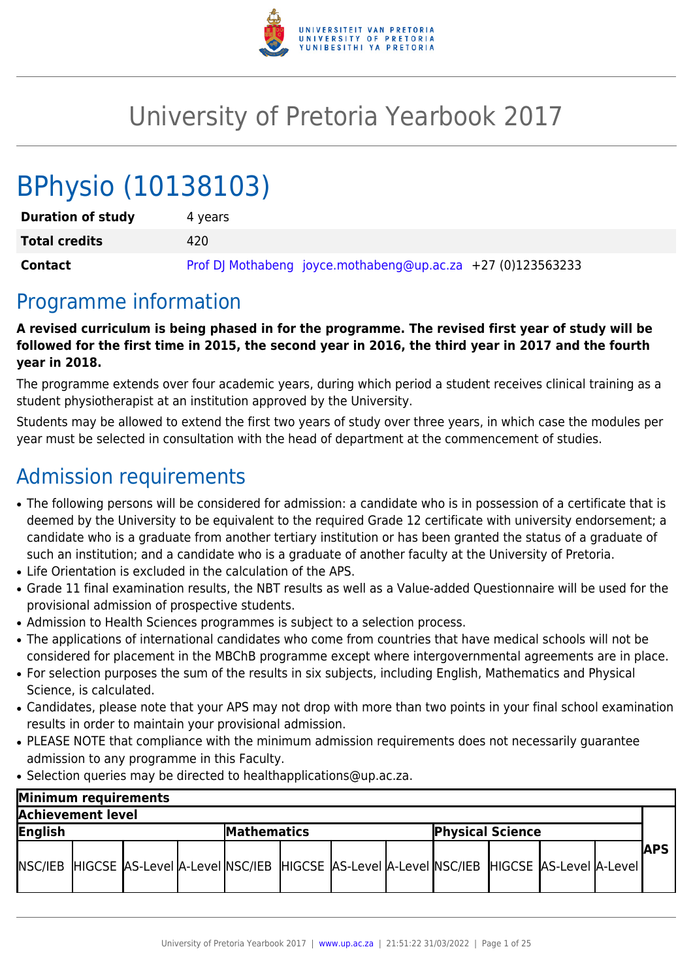

# University of Pretoria Yearbook 2017

# BPhysio (10138103)

| <b>Duration of study</b> | 4 vears                                                     |
|--------------------------|-------------------------------------------------------------|
| <b>Total credits</b>     | 420                                                         |
| Contact                  | Prof DJ Mothabeng joyce.mothabeng@up.ac.za +27 (0)123563233 |

## Programme information

**A revised curriculum is being phased in for the programme. The revised first year of study will be followed for the first time in 2015, the second year in 2016, the third year in 2017 and the fourth year in 2018.**

The programme extends over four academic years, during which period a student receives clinical training as a student physiotherapist at an institution approved by the University.

Students may be allowed to extend the first two years of study over three years, in which case the modules per year must be selected in consultation with the head of department at the commencement of studies.

## Admission requirements

- The following persons will be considered for admission: a candidate who is in possession of a certificate that is deemed by the University to be equivalent to the required Grade 12 certificate with university endorsement; a candidate who is a graduate from another tertiary institution or has been granted the status of a graduate of such an institution; and a candidate who is a graduate of another faculty at the University of Pretoria.
- Life Orientation is excluded in the calculation of the APS.
- Grade 11 final examination results, the NBT results as well as a Value-added Questionnaire will be used for the provisional admission of prospective students.
- Admission to Health Sciences programmes is subject to a selection process.
- The applications of international candidates who come from countries that have medical schools will not be considered for placement in the MBChB programme except where intergovernmental agreements are in place.
- For selection purposes the sum of the results in six subjects, including English, Mathematics and Physical Science, is calculated.
- Candidates, please note that your APS may not drop with more than two points in your final school examination results in order to maintain your provisional admission.
- PLEASE NOTE that compliance with the minimum admission requirements does not necessarily guarantee admission to any programme in this Faculty.
- Selection queries may be directed to healthapplications@up.ac.za.

| Minimum requirements |  |  |                    |  |  |                                                                                                            |  |  |  |  |  |               |
|----------------------|--|--|--------------------|--|--|------------------------------------------------------------------------------------------------------------|--|--|--|--|--|---------------|
| Achievement level    |  |  |                    |  |  |                                                                                                            |  |  |  |  |  |               |
| English              |  |  | <b>Mathematics</b> |  |  | <b>Physical Science</b>                                                                                    |  |  |  |  |  |               |
|                      |  |  |                    |  |  | NSC/IEB  HIGCSE  AS-Level  A-Level  NSC/IEB  HIGCSE  AS-Level  A-Level  NSC/IEB  HIGCSE  AS-Level  A-Level |  |  |  |  |  | <b>IAPS I</b> |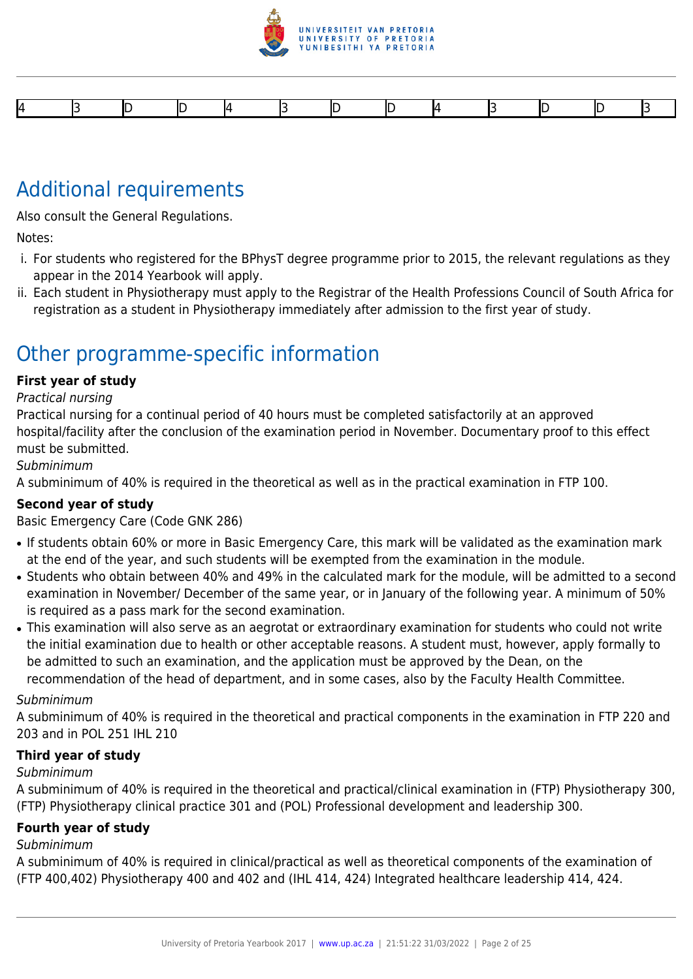

## Additional requirements

Also consult the General Regulations.

Notes:

- i. For students who registered for the BPhysT degree programme prior to 2015, the relevant regulations as they appear in the 2014 Yearbook will apply.
- ii. Each student in Physiotherapy must apply to the Registrar of the Health Professions Council of South Africa for registration as a student in Physiotherapy immediately after admission to the first year of study.

## Other programme-specific information

#### **First year of study**

Practical nursing

Practical nursing for a continual period of 40 hours must be completed satisfactorily at an approved hospital/facility after the conclusion of the examination period in November. Documentary proof to this effect must be submitted.

Subminimum

A subminimum of 40% is required in the theoretical as well as in the practical examination in FTP 100.

#### **Second year of study**

Basic Emergency Care (Code GNK 286)

- If students obtain 60% or more in Basic Emergency Care, this mark will be validated as the examination mark at the end of the year, and such students will be exempted from the examination in the module.
- Students who obtain between 40% and 49% in the calculated mark for the module, will be admitted to a second examination in November/ December of the same year, or in January of the following year. A minimum of 50% is required as a pass mark for the second examination.
- This examination will also serve as an aegrotat or extraordinary examination for students who could not write the initial examination due to health or other acceptable reasons. A student must, however, apply formally to be admitted to such an examination, and the application must be approved by the Dean, on the recommendation of the head of department, and in some cases, also by the Faculty Health Committee.

#### Subminimum

A subminimum of 40% is required in the theoretical and practical components in the examination in FTP 220 and 203 and in POL 251 IHL 210

#### **Third year of study**

#### Subminimum

A subminimum of 40% is required in the theoretical and practical/clinical examination in (FTP) Physiotherapy 300, (FTP) Physiotherapy clinical practice 301 and (POL) Professional development and leadership 300.

#### **Fourth year of study**

#### Subminimum

A subminimum of 40% is required in clinical/practical as well as theoretical components of the examination of (FTP 400,402) Physiotherapy 400 and 402 and (IHL 414, 424) Integrated healthcare leadership 414, 424.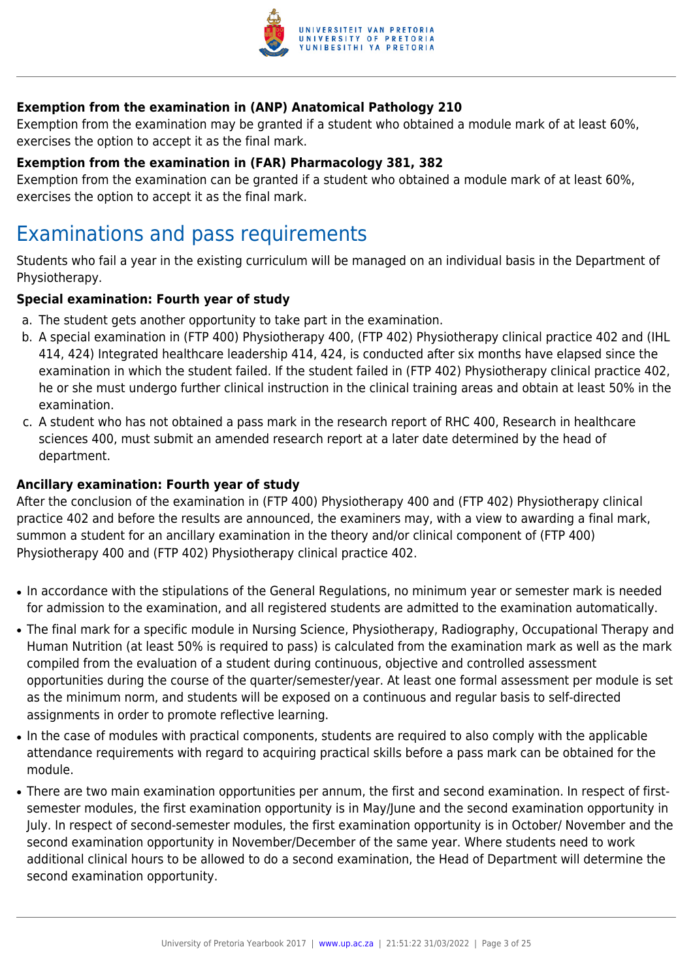

### **Exemption from the examination in (ANP) Anatomical Pathology 210**

Exemption from the examination may be granted if a student who obtained a module mark of at least 60%, exercises the option to accept it as the final mark.

#### **Exemption from the examination in (FAR) Pharmacology 381, 382**

Exemption from the examination can be granted if a student who obtained a module mark of at least 60%, exercises the option to accept it as the final mark.

## Examinations and pass requirements

Students who fail a year in the existing curriculum will be managed on an individual basis in the Department of Physiotherapy.

#### **Special examination: Fourth year of study**

- a. The student gets another opportunity to take part in the examination.
- b. A special examination in (FTP 400) Physiotherapy 400, (FTP 402) Physiotherapy clinical practice 402 and (IHL 414, 424) Integrated healthcare leadership 414, 424, is conducted after six months have elapsed since the examination in which the student failed. If the student failed in (FTP 402) Physiotherapy clinical practice 402, he or she must undergo further clinical instruction in the clinical training areas and obtain at least 50% in the examination.
- c. A student who has not obtained a pass mark in the research report of RHC 400, Research in healthcare sciences 400, must submit an amended research report at a later date determined by the head of department.

#### **Ancillary examination: Fourth year of study**

After the conclusion of the examination in (FTP 400) Physiotherapy 400 and (FTP 402) Physiotherapy clinical practice 402 and before the results are announced, the examiners may, with a view to awarding a final mark, summon a student for an ancillary examination in the theory and/or clinical component of (FTP 400) Physiotherapy 400 and (FTP 402) Physiotherapy clinical practice 402.

- In accordance with the stipulations of the General Regulations, no minimum year or semester mark is needed for admission to the examination, and all registered students are admitted to the examination automatically.
- The final mark for a specific module in Nursing Science, Physiotherapy, Radiography, Occupational Therapy and Human Nutrition (at least 50% is required to pass) is calculated from the examination mark as well as the mark compiled from the evaluation of a student during continuous, objective and controlled assessment opportunities during the course of the quarter/semester/year. At least one formal assessment per module is set as the minimum norm, and students will be exposed on a continuous and regular basis to self-directed assignments in order to promote reflective learning.
- In the case of modules with practical components, students are required to also comply with the applicable attendance requirements with regard to acquiring practical skills before a pass mark can be obtained for the module.
- There are two main examination opportunities per annum, the first and second examination. In respect of firstsemester modules, the first examination opportunity is in May/June and the second examination opportunity in July. In respect of second-semester modules, the first examination opportunity is in October/ November and the second examination opportunity in November/December of the same year. Where students need to work additional clinical hours to be allowed to do a second examination, the Head of Department will determine the second examination opportunity.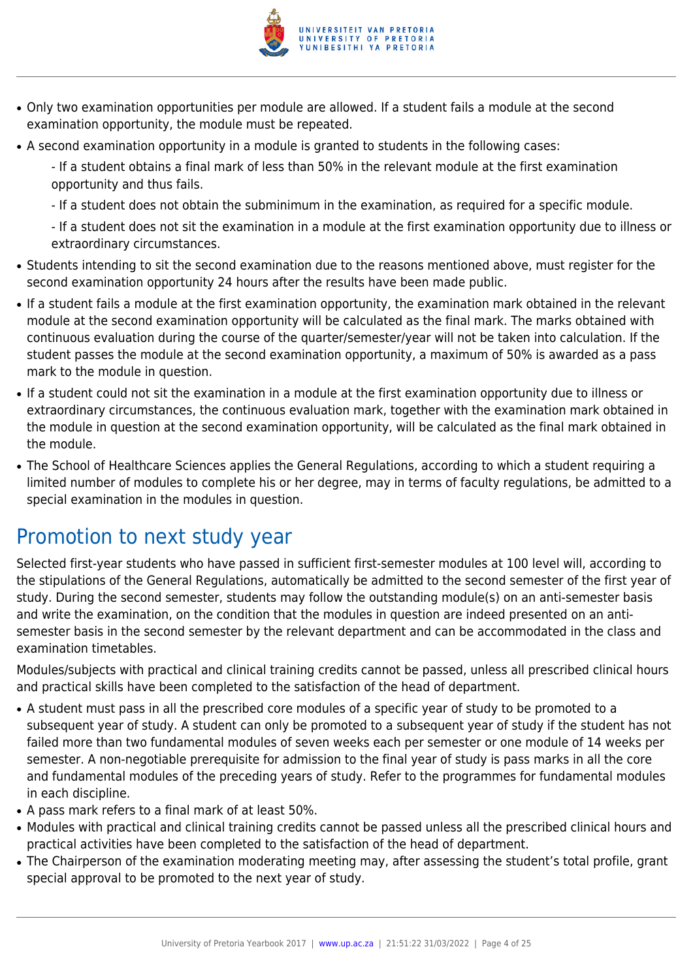

- Only two examination opportunities per module are allowed. If a student fails a module at the second examination opportunity, the module must be repeated.
- A second examination opportunity in a module is granted to students in the following cases:

- If a student obtains a final mark of less than 50% in the relevant module at the first examination opportunity and thus fails.

- If a student does not obtain the subminimum in the examination, as required for a specific module.

- If a student does not sit the examination in a module at the first examination opportunity due to illness or extraordinary circumstances.

- Students intending to sit the second examination due to the reasons mentioned above, must register for the second examination opportunity 24 hours after the results have been made public.
- If a student fails a module at the first examination opportunity, the examination mark obtained in the relevant module at the second examination opportunity will be calculated as the final mark. The marks obtained with continuous evaluation during the course of the quarter/semester/year will not be taken into calculation. If the student passes the module at the second examination opportunity, a maximum of 50% is awarded as a pass mark to the module in question.
- If a student could not sit the examination in a module at the first examination opportunity due to illness or extraordinary circumstances, the continuous evaluation mark, together with the examination mark obtained in the module in question at the second examination opportunity, will be calculated as the final mark obtained in the module.
- The School of Healthcare Sciences applies the General Regulations, according to which a student requiring a limited number of modules to complete his or her degree, may in terms of faculty regulations, be admitted to a special examination in the modules in question.

## Promotion to next study year

Selected first-year students who have passed in sufficient first-semester modules at 100 level will, according to the stipulations of the General Regulations, automatically be admitted to the second semester of the first year of study. During the second semester, students may follow the outstanding module(s) on an anti-semester basis and write the examination, on the condition that the modules in question are indeed presented on an antisemester basis in the second semester by the relevant department and can be accommodated in the class and examination timetables.

Modules/subjects with practical and clinical training credits cannot be passed, unless all prescribed clinical hours and practical skills have been completed to the satisfaction of the head of department.

- A student must pass in all the prescribed core modules of a specific year of study to be promoted to a subsequent year of study. A student can only be promoted to a subsequent year of study if the student has not failed more than two fundamental modules of seven weeks each per semester or one module of 14 weeks per semester. A non-negotiable prerequisite for admission to the final year of study is pass marks in all the core and fundamental modules of the preceding years of study. Refer to the programmes for fundamental modules in each discipline.
- A pass mark refers to a final mark of at least 50%.
- Modules with practical and clinical training credits cannot be passed unless all the prescribed clinical hours and practical activities have been completed to the satisfaction of the head of department.
- The Chairperson of the examination moderating meeting may, after assessing the student's total profile, grant special approval to be promoted to the next year of study.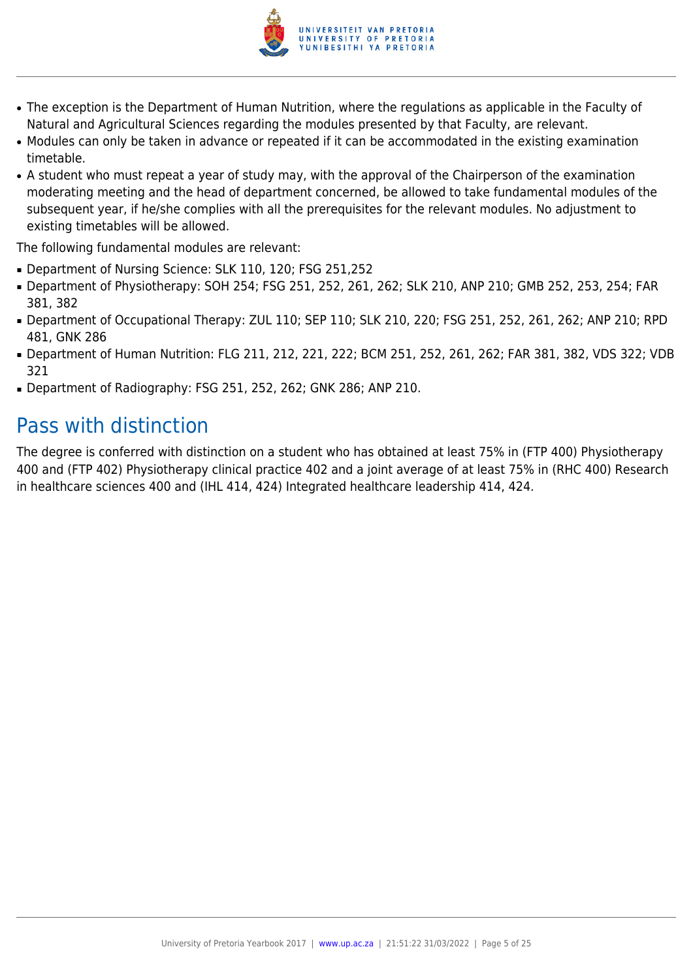

- The exception is the Department of Human Nutrition, where the regulations as applicable in the Faculty of Natural and Agricultural Sciences regarding the modules presented by that Faculty, are relevant.
- Modules can only be taken in advance or repeated if it can be accommodated in the existing examination timetable.
- A student who must repeat a year of study may, with the approval of the Chairperson of the examination moderating meeting and the head of department concerned, be allowed to take fundamental modules of the subsequent year, if he/she complies with all the prerequisites for the relevant modules. No adjustment to existing timetables will be allowed.

The following fundamental modules are relevant:

- Department of Nursing Science: SLK 110, 120; FSG 251,252
- Department of Physiotherapy: SOH 254; FSG 251, 252, 261, 262; SLK 210, ANP 210; GMB 252, 253, 254; FAR 381, 382
- Department of Occupational Therapy: ZUL 110; SEP 110; SLK 210, 220; FSG 251, 252, 261, 262; ANP 210; RPD 481, GNK 286
- Department of Human Nutrition: FLG 211, 212, 221, 222; BCM 251, 252, 261, 262; FAR 381, 382, VDS 322; VDB 321
- Department of Radiography: FSG 251, 252, 262; GNK 286; ANP 210.

## Pass with distinction

The degree is conferred with distinction on a student who has obtained at least 75% in (FTP 400) Physiotherapy 400 and (FTP 402) Physiotherapy clinical practice 402 and a joint average of at least 75% in (RHC 400) Research in healthcare sciences 400 and (IHL 414, 424) Integrated healthcare leadership 414, 424.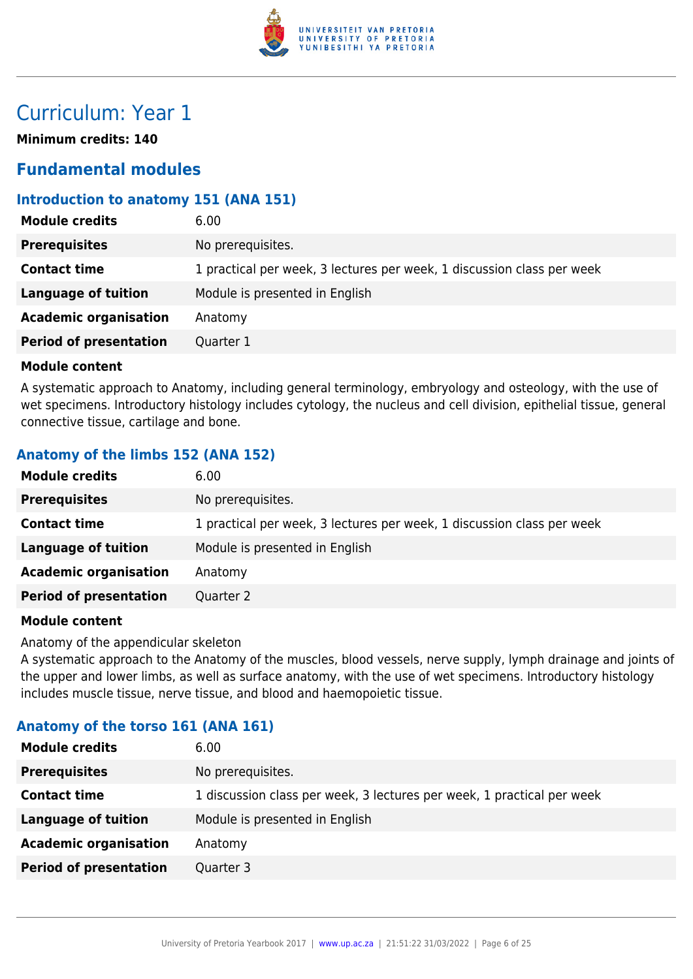

## Curriculum: Year 1

**Minimum credits: 140**

## **Fundamental modules**

## **Introduction to anatomy 151 (ANA 151)**

| <b>Module credits</b>         | 6.00                                                                   |
|-------------------------------|------------------------------------------------------------------------|
| <b>Prerequisites</b>          | No prerequisites.                                                      |
| <b>Contact time</b>           | 1 practical per week, 3 lectures per week, 1 discussion class per week |
| Language of tuition           | Module is presented in English                                         |
| <b>Academic organisation</b>  | Anatomy                                                                |
| <b>Period of presentation</b> | Quarter 1                                                              |
|                               |                                                                        |

#### **Module content**

A systematic approach to Anatomy, including general terminology, embryology and osteology, with the use of wet specimens. Introductory histology includes cytology, the nucleus and cell division, epithelial tissue, general connective tissue, cartilage and bone.

## **Anatomy of the limbs 152 (ANA 152)**

| <b>Module credits</b><br>6.00                                                                 |  |
|-----------------------------------------------------------------------------------------------|--|
| No prerequisites.<br><b>Prerequisites</b>                                                     |  |
| 1 practical per week, 3 lectures per week, 1 discussion class per week<br><b>Contact time</b> |  |
| Language of tuition<br>Module is presented in English                                         |  |
| <b>Academic organisation</b><br>Anatomy                                                       |  |
| <b>Period of presentation</b><br>Quarter 2                                                    |  |

#### **Module content**

Anatomy of the appendicular skeleton

A systematic approach to the Anatomy of the muscles, blood vessels, nerve supply, lymph drainage and joints of the upper and lower limbs, as well as surface anatomy, with the use of wet specimens. Introductory histology includes muscle tissue, nerve tissue, and blood and haemopoietic tissue.

#### **Anatomy of the torso 161 (ANA 161)**

| <b>Module credits</b>         | 6.00                                                                   |
|-------------------------------|------------------------------------------------------------------------|
| <b>Prerequisites</b>          | No prerequisites.                                                      |
| <b>Contact time</b>           | 1 discussion class per week, 3 lectures per week, 1 practical per week |
| <b>Language of tuition</b>    | Module is presented in English                                         |
| <b>Academic organisation</b>  | Anatomy                                                                |
| <b>Period of presentation</b> | Quarter 3                                                              |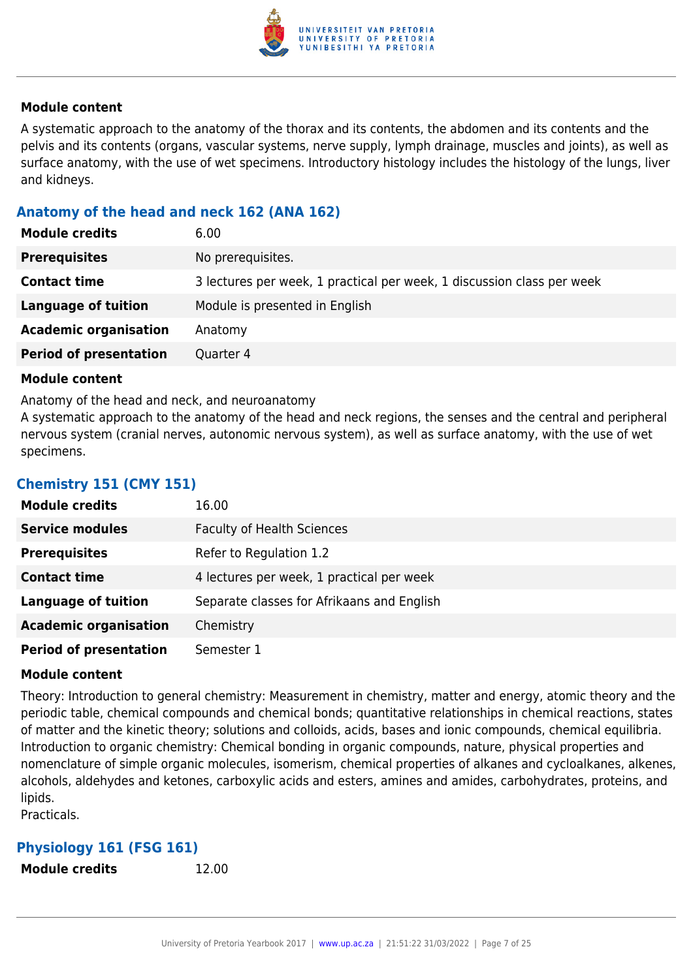

A systematic approach to the anatomy of the thorax and its contents, the abdomen and its contents and the pelvis and its contents (organs, vascular systems, nerve supply, lymph drainage, muscles and joints), as well as surface anatomy, with the use of wet specimens. Introductory histology includes the histology of the lungs, liver and kidneys.

### **Anatomy of the head and neck 162 (ANA 162)**

| <b>Module credits</b>         | 6.00                                                                   |
|-------------------------------|------------------------------------------------------------------------|
| <b>Prerequisites</b>          | No prerequisites.                                                      |
| <b>Contact time</b>           | 3 lectures per week, 1 practical per week, 1 discussion class per week |
| Language of tuition           | Module is presented in English                                         |
| <b>Academic organisation</b>  | Anatomy                                                                |
| <b>Period of presentation</b> | Quarter 4                                                              |

#### **Module content**

Anatomy of the head and neck, and neuroanatomy

A systematic approach to the anatomy of the head and neck regions, the senses and the central and peripheral nervous system (cranial nerves, autonomic nervous system), as well as surface anatomy, with the use of wet specimens.

#### **Chemistry 151 (CMY 151)**

| <b>Module credits</b>         | 16.00                                      |
|-------------------------------|--------------------------------------------|
| <b>Service modules</b>        | <b>Faculty of Health Sciences</b>          |
| <b>Prerequisites</b>          | Refer to Regulation 1.2                    |
| <b>Contact time</b>           | 4 lectures per week, 1 practical per week  |
| <b>Language of tuition</b>    | Separate classes for Afrikaans and English |
| <b>Academic organisation</b>  | Chemistry                                  |
| <b>Period of presentation</b> | Semester 1                                 |

#### **Module content**

Theory: Introduction to general chemistry: Measurement in chemistry, matter and energy, atomic theory and the periodic table, chemical compounds and chemical bonds; quantitative relationships in chemical reactions, states of matter and the kinetic theory; solutions and colloids, acids, bases and ionic compounds, chemical equilibria. Introduction to organic chemistry: Chemical bonding in organic compounds, nature, physical properties and nomenclature of simple organic molecules, isomerism, chemical properties of alkanes and cycloalkanes, alkenes, alcohols, aldehydes and ketones, carboxylic acids and esters, amines and amides, carbohydrates, proteins, and lipids.

Practicals.

## **Physiology 161 (FSG 161)**

**Module credits** 12.00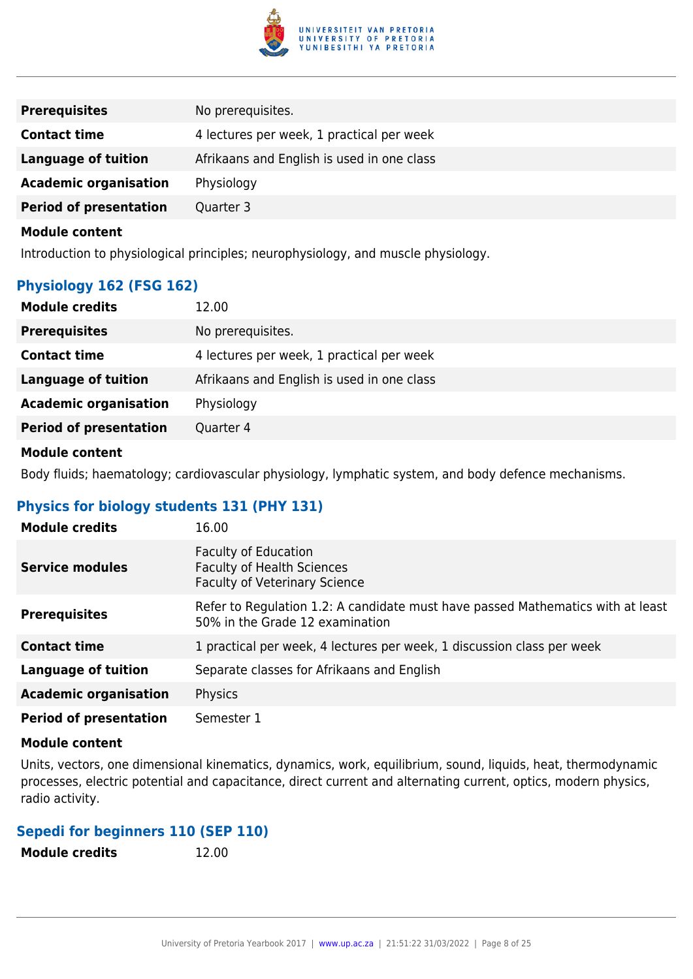

| <b>Prerequisites</b>          | No prerequisites.                          |
|-------------------------------|--------------------------------------------|
| <b>Contact time</b>           | 4 lectures per week, 1 practical per week  |
| <b>Language of tuition</b>    | Afrikaans and English is used in one class |
| <b>Academic organisation</b>  | Physiology                                 |
| <b>Period of presentation</b> | Quarter 3                                  |
|                               |                                            |

Introduction to physiological principles; neurophysiology, and muscle physiology.

## **Physiology 162 (FSG 162)**

| <b>Module credits</b><br>12.00             |                                            |
|--------------------------------------------|--------------------------------------------|
| <b>Prerequisites</b>                       | No prerequisites.                          |
| <b>Contact time</b>                        | 4 lectures per week, 1 practical per week  |
| <b>Language of tuition</b>                 | Afrikaans and English is used in one class |
| <b>Academic organisation</b><br>Physiology |                                            |
| <b>Period of presentation</b><br>Quarter 4 |                                            |

## **Module content**

Body fluids; haematology; cardiovascular physiology, lymphatic system, and body defence mechanisms.

## **Physics for biology students 131 (PHY 131)**

| <b>Module credits</b>         | 16.00                                                                                                              |
|-------------------------------|--------------------------------------------------------------------------------------------------------------------|
| <b>Service modules</b>        | <b>Faculty of Education</b><br><b>Faculty of Health Sciences</b><br><b>Faculty of Veterinary Science</b>           |
| <b>Prerequisites</b>          | Refer to Regulation 1.2: A candidate must have passed Mathematics with at least<br>50% in the Grade 12 examination |
| <b>Contact time</b>           | 1 practical per week, 4 lectures per week, 1 discussion class per week                                             |
| Language of tuition           | Separate classes for Afrikaans and English                                                                         |
| <b>Academic organisation</b>  | Physics                                                                                                            |
| <b>Period of presentation</b> | Semester 1                                                                                                         |

#### **Module content**

Units, vectors, one dimensional kinematics, dynamics, work, equilibrium, sound, liquids, heat, thermodynamic processes, electric potential and capacitance, direct current and alternating current, optics, modern physics, radio activity.

## **Sepedi for beginners 110 (SEP 110)**

| <b>Module credits</b> | 12.00 |
|-----------------------|-------|
|                       |       |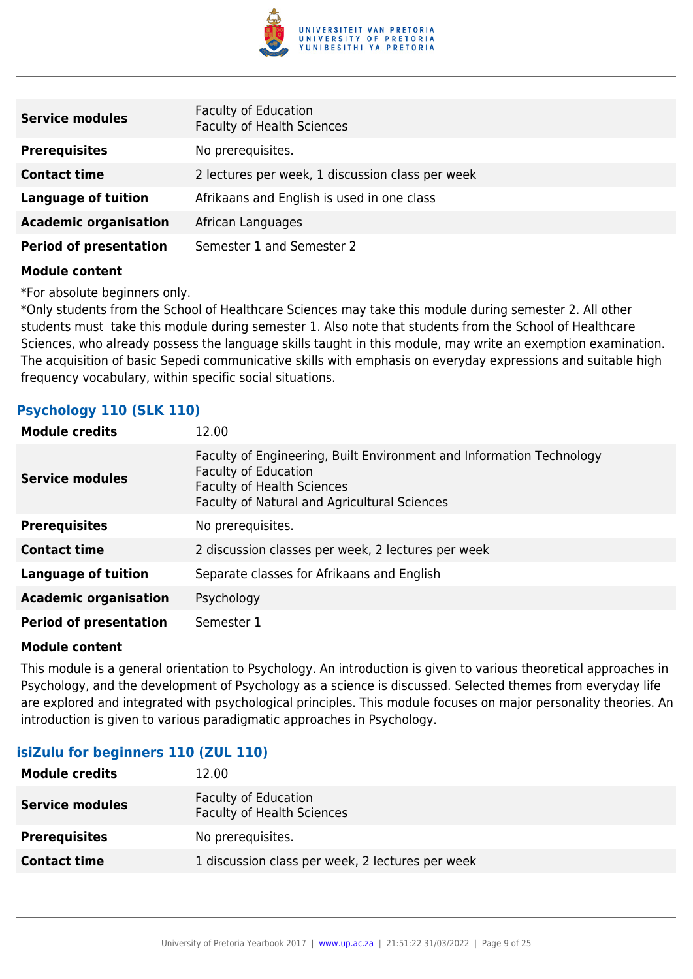

| <b>Service modules</b>        | Faculty of Education<br><b>Faculty of Health Sciences</b> |
|-------------------------------|-----------------------------------------------------------|
| <b>Prerequisites</b>          | No prerequisites.                                         |
| <b>Contact time</b>           | 2 lectures per week, 1 discussion class per week          |
| <b>Language of tuition</b>    | Afrikaans and English is used in one class                |
| <b>Academic organisation</b>  | African Languages                                         |
| <b>Period of presentation</b> | Semester 1 and Semester 2                                 |

\*For absolute beginners only.

\*Only students from the School of Healthcare Sciences may take this module during semester 2. All other students must take this module during semester 1. Also note that students from the School of Healthcare Sciences, who already possess the language skills taught in this module, may write an exemption examination. The acquisition of basic Sepedi communicative skills with emphasis on everyday expressions and suitable high frequency vocabulary, within specific social situations.

## **Psychology 110 (SLK 110)**

| <b>Module credits</b>         | 12.00                                                                                                                                                                                    |
|-------------------------------|------------------------------------------------------------------------------------------------------------------------------------------------------------------------------------------|
| <b>Service modules</b>        | Faculty of Engineering, Built Environment and Information Technology<br><b>Faculty of Education</b><br><b>Faculty of Health Sciences</b><br>Faculty of Natural and Agricultural Sciences |
| <b>Prerequisites</b>          | No prerequisites.                                                                                                                                                                        |
| <b>Contact time</b>           | 2 discussion classes per week, 2 lectures per week                                                                                                                                       |
| Language of tuition           | Separate classes for Afrikaans and English                                                                                                                                               |
| <b>Academic organisation</b>  | Psychology                                                                                                                                                                               |
| <b>Period of presentation</b> | Semester 1                                                                                                                                                                               |

#### **Module content**

This module is a general orientation to Psychology. An introduction is given to various theoretical approaches in Psychology, and the development of Psychology as a science is discussed. Selected themes from everyday life are explored and integrated with psychological principles. This module focuses on major personality theories. An introduction is given to various paradigmatic approaches in Psychology.

## **isiZulu for beginners 110 (ZUL 110)**

| 12.00                                                            |
|------------------------------------------------------------------|
| <b>Faculty of Education</b><br><b>Faculty of Health Sciences</b> |
| No prerequisites.                                                |
| 1 discussion class per week, 2 lectures per week                 |
|                                                                  |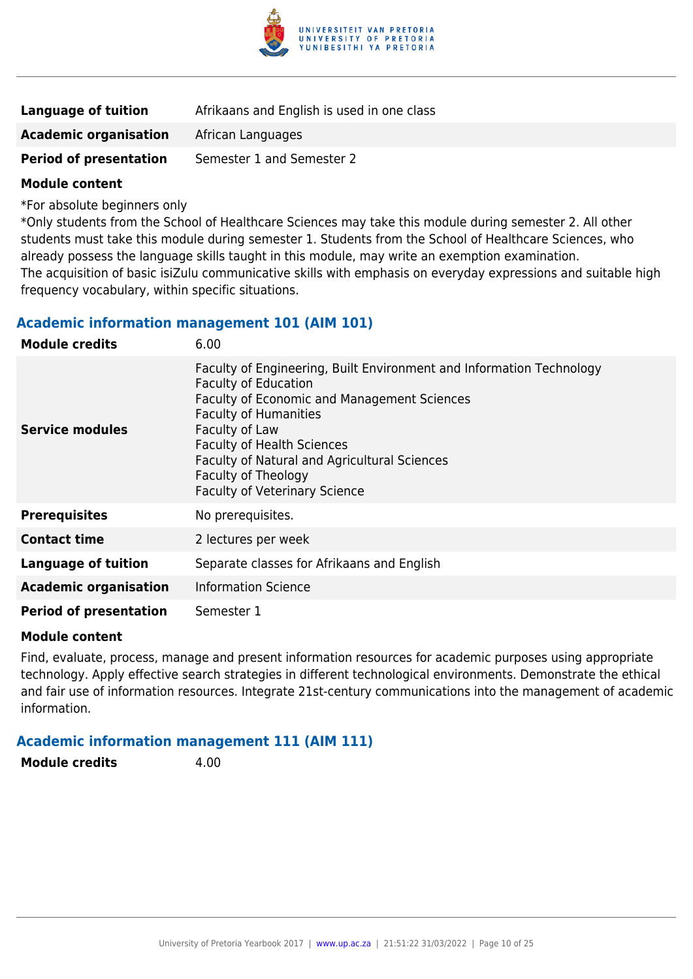

| <b>Language of tuition</b>    | Afrikaans and English is used in one class |
|-------------------------------|--------------------------------------------|
| <b>Academic organisation</b>  | African Languages                          |
| <b>Period of presentation</b> | Semester 1 and Semester 2                  |

\*For absolute beginners only

\*Only students from the School of Healthcare Sciences may take this module during semester 2. All other students must take this module during semester 1. Students from the School of Healthcare Sciences, who already possess the language skills taught in this module, may write an exemption examination. The acquisition of basic isiZulu communicative skills with emphasis on everyday expressions and suitable high frequency vocabulary, within specific situations.

#### **Academic information management 101 (AIM 101)**

| <b>Module credits</b>         | 6.00                                                                                                                                                                                                                                                                                                                                                            |
|-------------------------------|-----------------------------------------------------------------------------------------------------------------------------------------------------------------------------------------------------------------------------------------------------------------------------------------------------------------------------------------------------------------|
| <b>Service modules</b>        | Faculty of Engineering, Built Environment and Information Technology<br><b>Faculty of Education</b><br><b>Faculty of Economic and Management Sciences</b><br><b>Faculty of Humanities</b><br>Faculty of Law<br><b>Faculty of Health Sciences</b><br>Faculty of Natural and Agricultural Sciences<br>Faculty of Theology<br><b>Faculty of Veterinary Science</b> |
| <b>Prerequisites</b>          | No prerequisites.                                                                                                                                                                                                                                                                                                                                               |
| <b>Contact time</b>           | 2 lectures per week                                                                                                                                                                                                                                                                                                                                             |
| <b>Language of tuition</b>    | Separate classes for Afrikaans and English                                                                                                                                                                                                                                                                                                                      |
| <b>Academic organisation</b>  | <b>Information Science</b>                                                                                                                                                                                                                                                                                                                                      |
| <b>Period of presentation</b> | Semester 1                                                                                                                                                                                                                                                                                                                                                      |

#### **Module content**

Find, evaluate, process, manage and present information resources for academic purposes using appropriate technology. Apply effective search strategies in different technological environments. Demonstrate the ethical and fair use of information resources. Integrate 21st-century communications into the management of academic information.

#### **Academic information management 111 (AIM 111)**

**Module credits** 4.00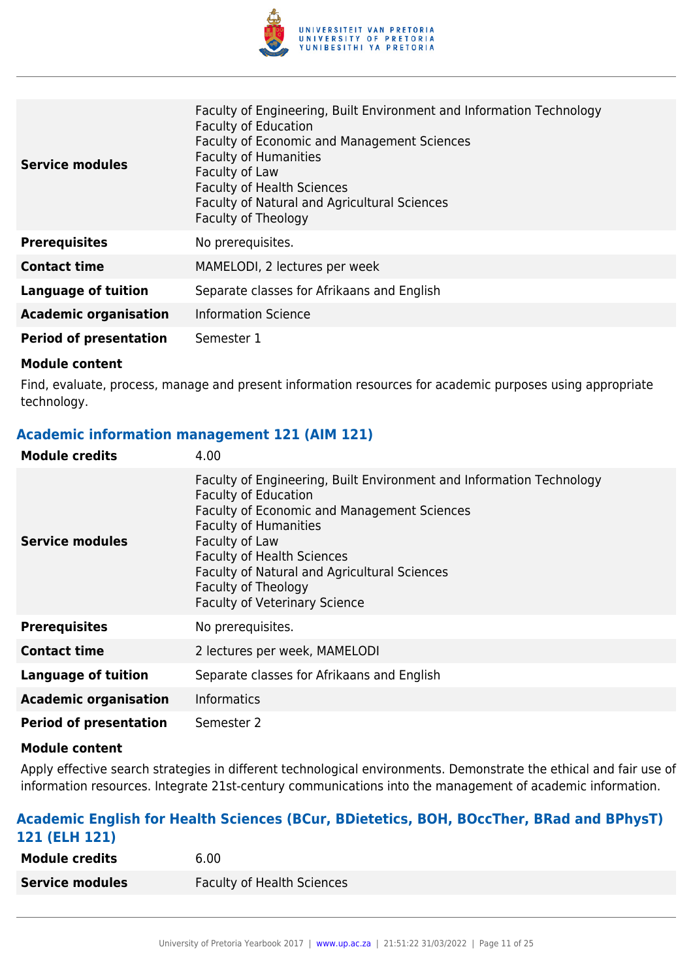

| <b>Service modules</b>        | Faculty of Engineering, Built Environment and Information Technology<br><b>Faculty of Education</b><br>Faculty of Economic and Management Sciences<br><b>Faculty of Humanities</b><br>Faculty of Law<br><b>Faculty of Health Sciences</b><br>Faculty of Natural and Agricultural Sciences<br>Faculty of Theology |
|-------------------------------|------------------------------------------------------------------------------------------------------------------------------------------------------------------------------------------------------------------------------------------------------------------------------------------------------------------|
| <b>Prerequisites</b>          | No prerequisites.                                                                                                                                                                                                                                                                                                |
| <b>Contact time</b>           | MAMELODI, 2 lectures per week                                                                                                                                                                                                                                                                                    |
| <b>Language of tuition</b>    | Separate classes for Afrikaans and English                                                                                                                                                                                                                                                                       |
| <b>Academic organisation</b>  | <b>Information Science</b>                                                                                                                                                                                                                                                                                       |
| <b>Period of presentation</b> | Semester 1                                                                                                                                                                                                                                                                                                       |

Find, evaluate, process, manage and present information resources for academic purposes using appropriate technology.

### **Academic information management 121 (AIM 121)**

| <b>Module credits</b>         | 4.00                                                                                                                                                                                                                                                                                                                                                     |
|-------------------------------|----------------------------------------------------------------------------------------------------------------------------------------------------------------------------------------------------------------------------------------------------------------------------------------------------------------------------------------------------------|
| Service modules               | Faculty of Engineering, Built Environment and Information Technology<br><b>Faculty of Education</b><br>Faculty of Economic and Management Sciences<br><b>Faculty of Humanities</b><br>Faculty of Law<br><b>Faculty of Health Sciences</b><br>Faculty of Natural and Agricultural Sciences<br>Faculty of Theology<br><b>Faculty of Veterinary Science</b> |
| <b>Prerequisites</b>          | No prerequisites.                                                                                                                                                                                                                                                                                                                                        |
| <b>Contact time</b>           | 2 lectures per week, MAMELODI                                                                                                                                                                                                                                                                                                                            |
| <b>Language of tuition</b>    | Separate classes for Afrikaans and English                                                                                                                                                                                                                                                                                                               |
| <b>Academic organisation</b>  | <b>Informatics</b>                                                                                                                                                                                                                                                                                                                                       |
| <b>Period of presentation</b> | Semester 2                                                                                                                                                                                                                                                                                                                                               |

#### **Module content**

Apply effective search strategies in different technological environments. Demonstrate the ethical and fair use of information resources. Integrate 21st-century communications into the management of academic information.

## **Academic English for Health Sciences (BCur, BDietetics, BOH, BOccTher, BRad and BPhysT) 121 (ELH 121)**

| <b>Module credits</b>  | 6.00                              |
|------------------------|-----------------------------------|
| <b>Service modules</b> | <b>Faculty of Health Sciences</b> |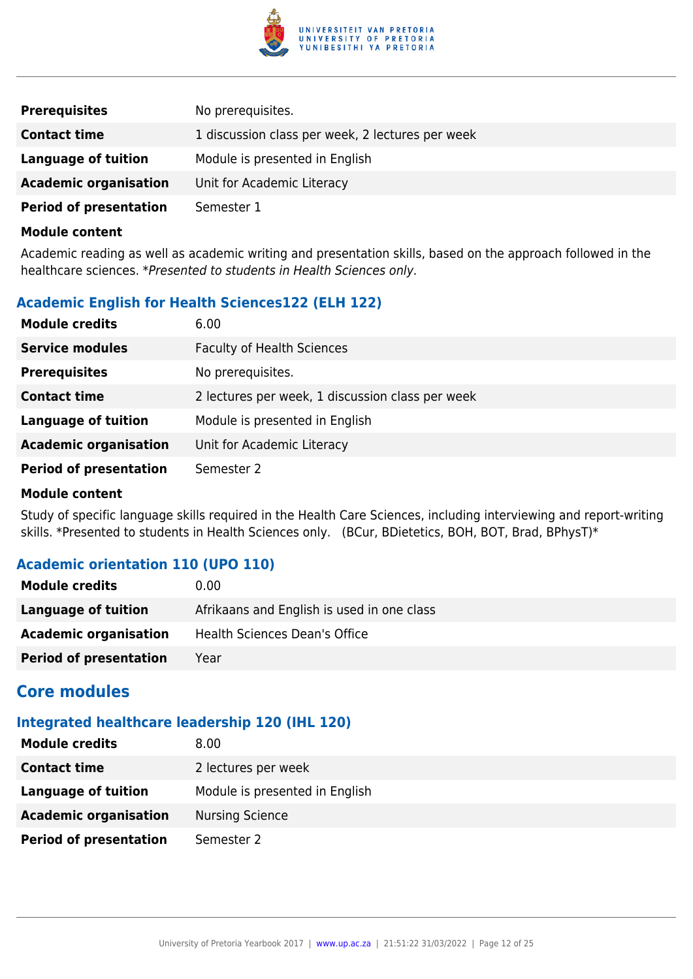

| <b>Prerequisites</b>          | No prerequisites.                                |
|-------------------------------|--------------------------------------------------|
| <b>Contact time</b>           | 1 discussion class per week, 2 lectures per week |
| Language of tuition           | Module is presented in English                   |
| <b>Academic organisation</b>  | Unit for Academic Literacy                       |
| <b>Period of presentation</b> | Semester 1                                       |

Academic reading as well as academic writing and presentation skills, based on the approach followed in the healthcare sciences. \*Presented to students in Health Sciences only.

## **Academic English for Health Sciences122 (ELH 122)**

| <b>Module credits</b>         | 6.00                                             |
|-------------------------------|--------------------------------------------------|
| <b>Service modules</b>        | <b>Faculty of Health Sciences</b>                |
| <b>Prerequisites</b>          | No prerequisites.                                |
| <b>Contact time</b>           | 2 lectures per week, 1 discussion class per week |
| <b>Language of tuition</b>    | Module is presented in English                   |
| <b>Academic organisation</b>  | Unit for Academic Literacy                       |
| <b>Period of presentation</b> | Semester 2                                       |

#### **Module content**

Study of specific language skills required in the Health Care Sciences, including interviewing and report-writing skills. \*Presented to students in Health Sciences only. (BCur, BDietetics, BOH, BOT, Brad, BPhysT)\*

## **Academic orientation 110 (UPO 110)**

| <b>Module credits</b>         | 0.00                                       |
|-------------------------------|--------------------------------------------|
| Language of tuition           | Afrikaans and English is used in one class |
| <b>Academic organisation</b>  | Health Sciences Dean's Office              |
| <b>Period of presentation</b> | Year                                       |

## **Core modules**

### **Integrated healthcare leadership 120 (IHL 120)**

| <b>Module credits</b>         | 8.00                           |
|-------------------------------|--------------------------------|
| <b>Contact time</b>           | 2 lectures per week            |
| Language of tuition           | Module is presented in English |
| <b>Academic organisation</b>  | <b>Nursing Science</b>         |
| <b>Period of presentation</b> | Semester 2                     |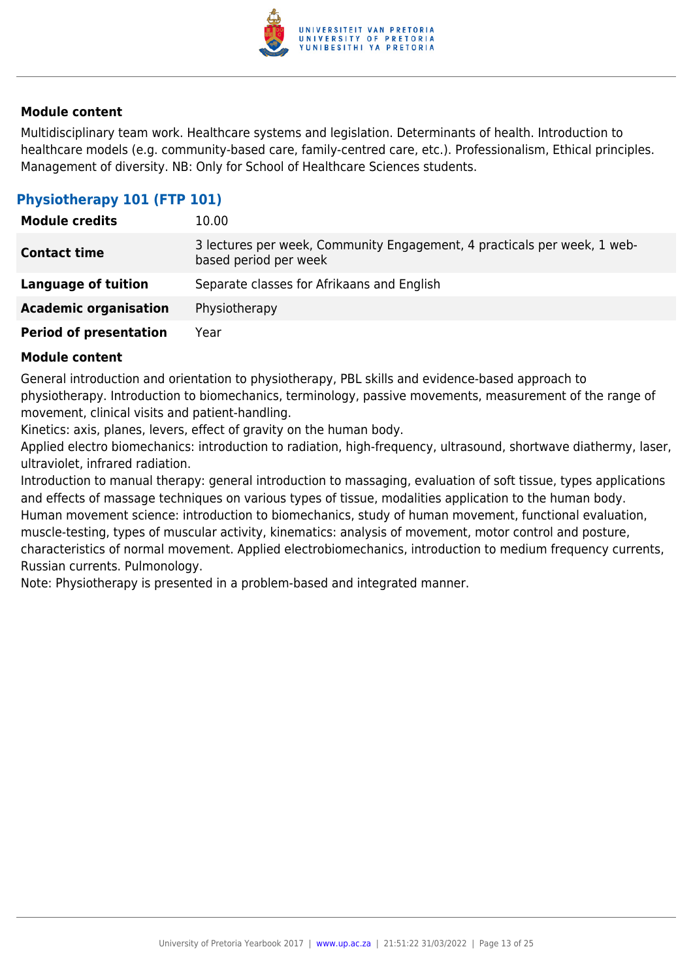

Multidisciplinary team work. Healthcare systems and legislation. Determinants of health. Introduction to healthcare models (e.g. community-based care, family-centred care, etc.). Professionalism, Ethical principles. Management of diversity. NB: Only for School of Healthcare Sciences students.

## **Physiotherapy 101 (FTP 101)**

| <b>Module credits</b>         | 10.00                                                                                             |
|-------------------------------|---------------------------------------------------------------------------------------------------|
| <b>Contact time</b>           | 3 lectures per week, Community Engagement, 4 practicals per week, 1 web-<br>based period per week |
| Language of tuition           | Separate classes for Afrikaans and English                                                        |
| <b>Academic organisation</b>  | Physiotherapy                                                                                     |
| <b>Period of presentation</b> | Year                                                                                              |

#### **Module content**

General introduction and orientation to physiotherapy, PBL skills and evidence-based approach to physiotherapy. Introduction to biomechanics, terminology, passive movements, measurement of the range of movement, clinical visits and patient-handling.

Kinetics: axis, planes, levers, effect of gravity on the human body.

Applied electro biomechanics: introduction to radiation, high-frequency, ultrasound, shortwave diathermy, laser, ultraviolet, infrared radiation.

Introduction to manual therapy: general introduction to massaging, evaluation of soft tissue, types applications and effects of massage techniques on various types of tissue, modalities application to the human body. Human movement science: introduction to biomechanics, study of human movement, functional evaluation, muscle-testing, types of muscular activity, kinematics: analysis of movement, motor control and posture, characteristics of normal movement. Applied electrobiomechanics, introduction to medium frequency currents, Russian currents. Pulmonology.

Note: Physiotherapy is presented in a problem-based and integrated manner.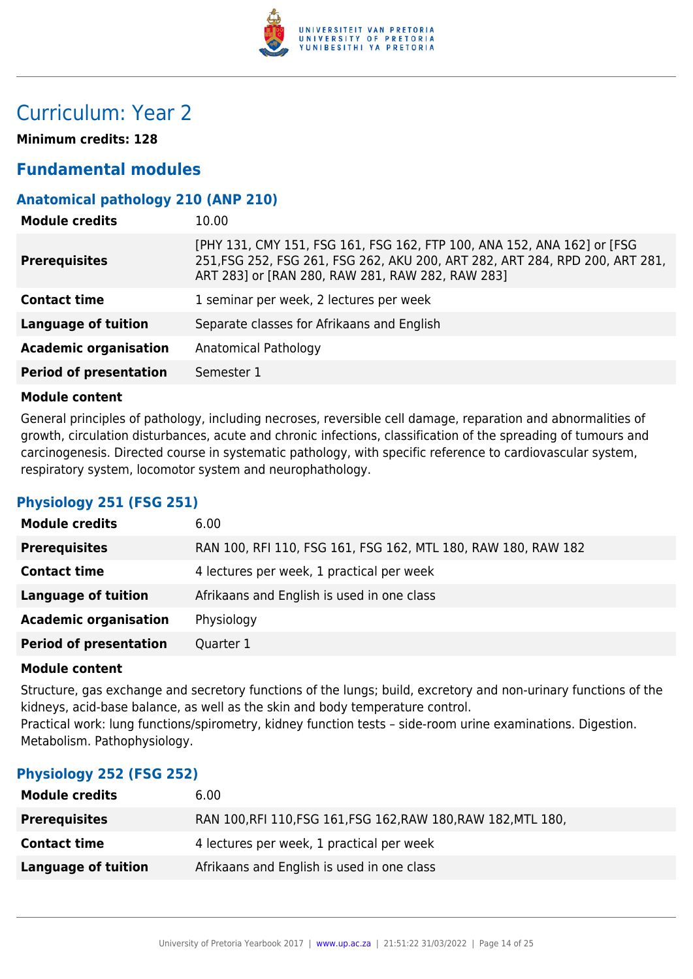

## Curriculum: Year 2

**Minimum credits: 128**

## **Fundamental modules**

## **Anatomical pathology 210 (ANP 210)**

| <b>Module credits</b>         | 10.00                                                                                                                                                                                                       |
|-------------------------------|-------------------------------------------------------------------------------------------------------------------------------------------------------------------------------------------------------------|
| <b>Prerequisites</b>          | [PHY 131, CMY 151, FSG 161, FSG 162, FTP 100, ANA 152, ANA 162] or [FSG<br>251, FSG 252, FSG 261, FSG 262, AKU 200, ART 282, ART 284, RPD 200, ART 281,<br>ART 283] or [RAN 280, RAW 281, RAW 282, RAW 283] |
| <b>Contact time</b>           | 1 seminar per week, 2 lectures per week                                                                                                                                                                     |
| <b>Language of tuition</b>    | Separate classes for Afrikaans and English                                                                                                                                                                  |
| <b>Academic organisation</b>  | Anatomical Pathology                                                                                                                                                                                        |
| <b>Period of presentation</b> | Semester 1                                                                                                                                                                                                  |

#### **Module content**

General principles of pathology, including necroses, reversible cell damage, reparation and abnormalities of growth, circulation disturbances, acute and chronic infections, classification of the spreading of tumours and carcinogenesis. Directed course in systematic pathology, with specific reference to cardiovascular system, respiratory system, locomotor system and neurophathology.

## **Physiology 251 (FSG 251)**

| <b>Module credits</b>         | 6.00                                                          |
|-------------------------------|---------------------------------------------------------------|
| <b>Prerequisites</b>          | RAN 100, RFI 110, FSG 161, FSG 162, MTL 180, RAW 180, RAW 182 |
| <b>Contact time</b>           | 4 lectures per week, 1 practical per week                     |
| <b>Language of tuition</b>    | Afrikaans and English is used in one class                    |
| <b>Academic organisation</b>  | Physiology                                                    |
| <b>Period of presentation</b> | Quarter 1                                                     |

#### **Module content**

Structure, gas exchange and secretory functions of the lungs; build, excretory and non-urinary functions of the kidneys, acid-base balance, as well as the skin and body temperature control. Practical work: lung functions/spirometry, kidney function tests – side-room urine examinations. Digestion. Metabolism. Pathophysiology.

## **Physiology 252 (FSG 252)**

| <b>Module credits</b> | 6.00                                                           |
|-----------------------|----------------------------------------------------------------|
| <b>Prerequisites</b>  | RAN 100, RFI 110, FSG 161, FSG 162, RAW 180, RAW 182, MTL 180, |
| <b>Contact time</b>   | 4 lectures per week, 1 practical per week                      |
| Language of tuition   | Afrikaans and English is used in one class                     |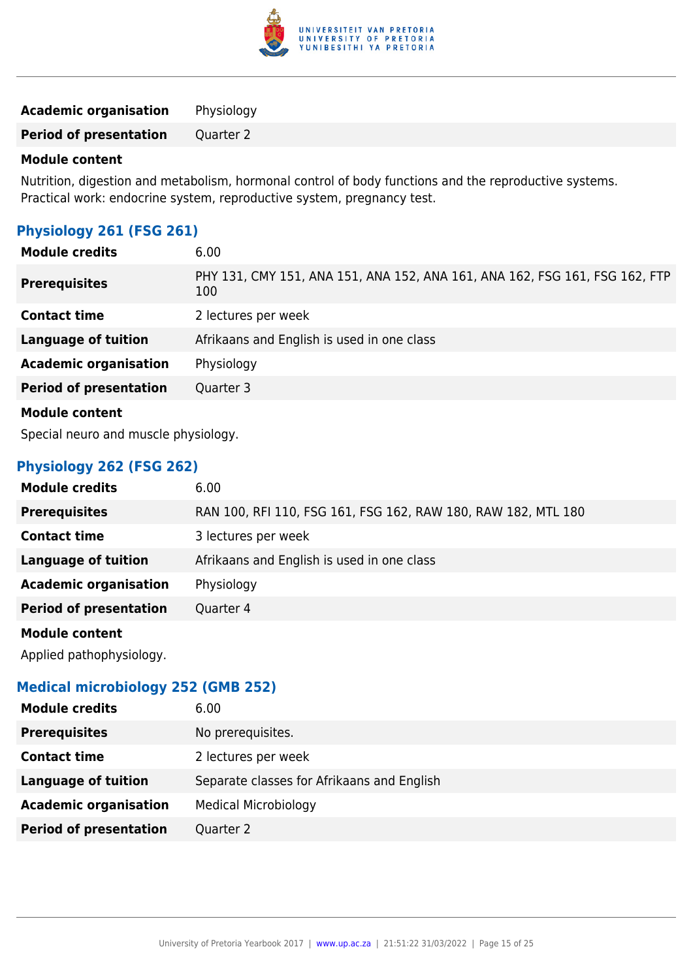

**Academic organisation** Physiology

**Period of presentation** Quarter 2

#### **Module content**

Nutrition, digestion and metabolism, hormonal control of body functions and the reproductive systems. Practical work: endocrine system, reproductive system, pregnancy test.

## **Physiology 261 (FSG 261)**

| <b>Module credits</b>         | 6.00                                                                               |
|-------------------------------|------------------------------------------------------------------------------------|
| <b>Prerequisites</b>          | PHY 131, CMY 151, ANA 151, ANA 152, ANA 161, ANA 162, FSG 161, FSG 162, FTP<br>100 |
| <b>Contact time</b>           | 2 lectures per week                                                                |
| <b>Language of tuition</b>    | Afrikaans and English is used in one class                                         |
| <b>Academic organisation</b>  | Physiology                                                                         |
| <b>Period of presentation</b> | Quarter 3                                                                          |
| <b>Module content</b>         |                                                                                    |

Special neuro and muscle physiology.

## **Physiology 262 (FSG 262)**

| <b>Module credits</b>         | 6.00                                                          |
|-------------------------------|---------------------------------------------------------------|
| <b>Prerequisites</b>          | RAN 100, RFI 110, FSG 161, FSG 162, RAW 180, RAW 182, MTL 180 |
| <b>Contact time</b>           | 3 lectures per week                                           |
| <b>Language of tuition</b>    | Afrikaans and English is used in one class                    |
| <b>Academic organisation</b>  | Physiology                                                    |
| <b>Period of presentation</b> | Quarter 4                                                     |
| <b>Module content</b>         |                                                               |

Applied pathophysiology.

## **Medical microbiology 252 (GMB 252)**

| <b>Module credits</b>         | 6.00                                       |
|-------------------------------|--------------------------------------------|
| <b>Prerequisites</b>          | No prerequisites.                          |
| <b>Contact time</b>           | 2 lectures per week                        |
| Language of tuition           | Separate classes for Afrikaans and English |
| <b>Academic organisation</b>  | <b>Medical Microbiology</b>                |
| <b>Period of presentation</b> | Quarter 2                                  |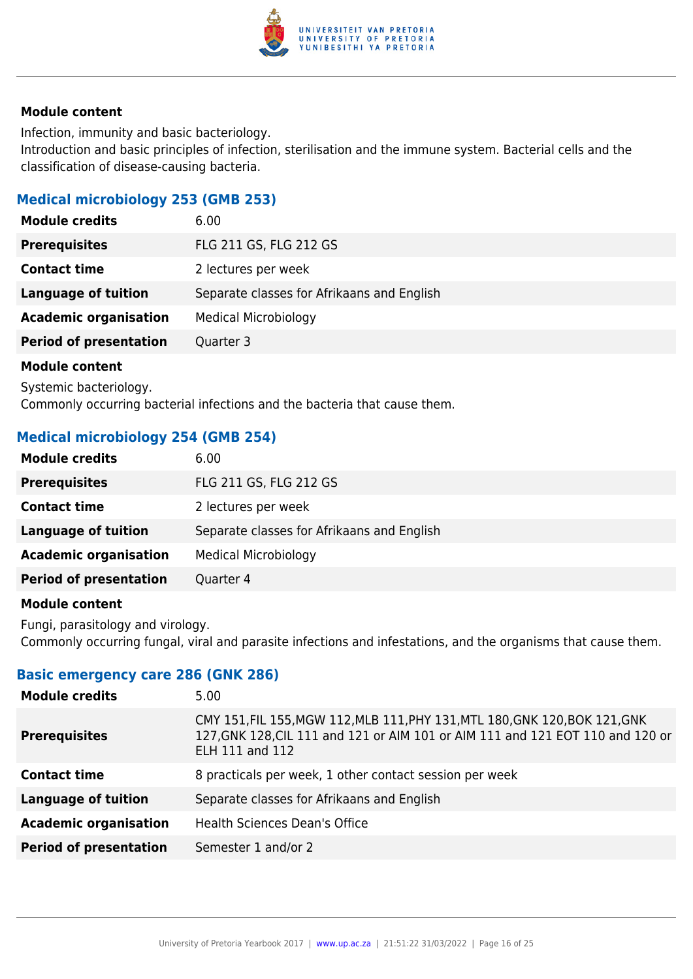

Infection, immunity and basic bacteriology. Introduction and basic principles of infection, sterilisation and the immune system. Bacterial cells and the classification of disease-causing bacteria.

### **Medical microbiology 253 (GMB 253)**

| <b>Module credits</b>         | 6.00                                       |
|-------------------------------|--------------------------------------------|
| <b>Prerequisites</b>          | FLG 211 GS, FLG 212 GS                     |
| <b>Contact time</b>           | 2 lectures per week                        |
| <b>Language of tuition</b>    | Separate classes for Afrikaans and English |
| <b>Academic organisation</b>  | <b>Medical Microbiology</b>                |
| <b>Period of presentation</b> | Quarter 3                                  |
| Madula cantant                |                                            |

**Module content**

Systemic bacteriology. Commonly occurring bacterial infections and the bacteria that cause them.

## **Medical microbiology 254 (GMB 254)**

| <b>Module credits</b>         | 6.00                                       |
|-------------------------------|--------------------------------------------|
| <b>Prerequisites</b>          | FLG 211 GS, FLG 212 GS                     |
| <b>Contact time</b>           | 2 lectures per week                        |
| Language of tuition           | Separate classes for Afrikaans and English |
| <b>Academic organisation</b>  | <b>Medical Microbiology</b>                |
| <b>Period of presentation</b> | Quarter 4                                  |
|                               |                                            |

#### **Module content**

Fungi, parasitology and virology. Commonly occurring fungal, viral and parasite infections and infestations, and the organisms that cause them.

## **Basic emergency care 286 (GNK 286)**

| <b>Module credits</b>         | 5.00                                                                                                                                                                                    |
|-------------------------------|-----------------------------------------------------------------------------------------------------------------------------------------------------------------------------------------|
| <b>Prerequisites</b>          | CMY 151, FIL 155, MGW 112, MLB 111, PHY 131, MTL 180, GNK 120, BOK 121, GNK<br>127, GNK 128, CIL 111 and 121 or AIM 101 or AIM 111 and 121 EOT 110 and 120 or<br><b>ELH 111 and 112</b> |
| <b>Contact time</b>           | 8 practicals per week, 1 other contact session per week                                                                                                                                 |
| <b>Language of tuition</b>    | Separate classes for Afrikaans and English                                                                                                                                              |
| <b>Academic organisation</b>  | Health Sciences Dean's Office                                                                                                                                                           |
| <b>Period of presentation</b> | Semester 1 and/or 2                                                                                                                                                                     |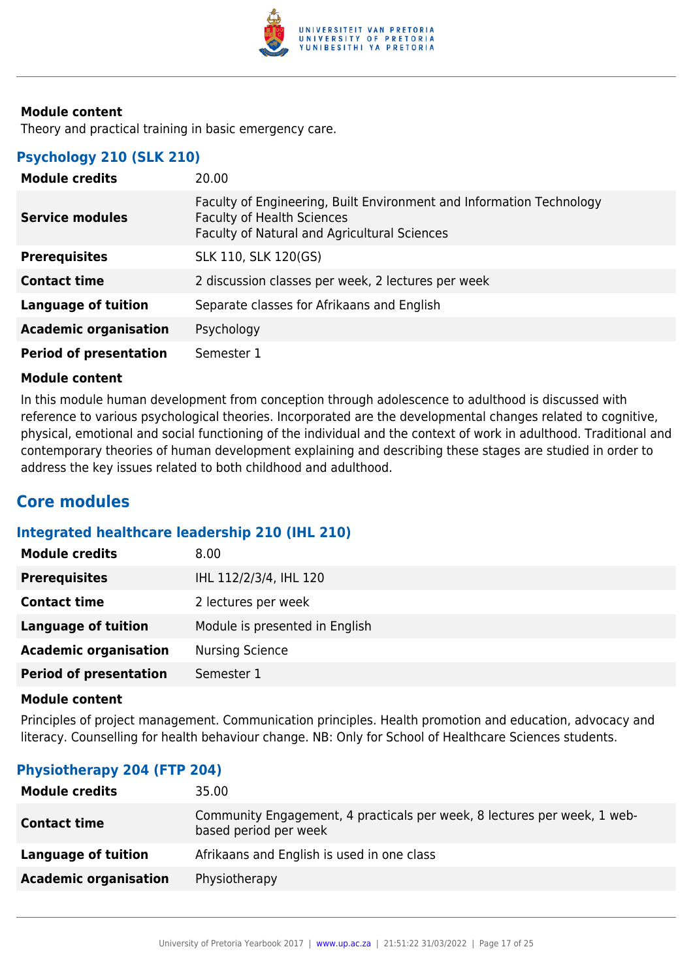

Theory and practical training in basic emergency care.

## **Psychology 210 (SLK 210)**

| <b>Module credits</b>         | 20.00                                                                                                                                                            |
|-------------------------------|------------------------------------------------------------------------------------------------------------------------------------------------------------------|
| <b>Service modules</b>        | Faculty of Engineering, Built Environment and Information Technology<br><b>Faculty of Health Sciences</b><br><b>Faculty of Natural and Agricultural Sciences</b> |
| <b>Prerequisites</b>          | SLK 110, SLK 120(GS)                                                                                                                                             |
| <b>Contact time</b>           | 2 discussion classes per week, 2 lectures per week                                                                                                               |
| <b>Language of tuition</b>    | Separate classes for Afrikaans and English                                                                                                                       |
| <b>Academic organisation</b>  | Psychology                                                                                                                                                       |
| <b>Period of presentation</b> | Semester 1                                                                                                                                                       |

#### **Module content**

In this module human development from conception through adolescence to adulthood is discussed with reference to various psychological theories. Incorporated are the developmental changes related to cognitive, physical, emotional and social functioning of the individual and the context of work in adulthood. Traditional and contemporary theories of human development explaining and describing these stages are studied in order to address the key issues related to both childhood and adulthood.

## **Core modules**

#### **Integrated healthcare leadership 210 (IHL 210)**

| <b>Module credits</b>         | 8.00                           |
|-------------------------------|--------------------------------|
| <b>Prerequisites</b>          | IHL 112/2/3/4, IHL 120         |
| <b>Contact time</b>           | 2 lectures per week            |
| <b>Language of tuition</b>    | Module is presented in English |
| <b>Academic organisation</b>  | <b>Nursing Science</b>         |
| <b>Period of presentation</b> | Semester 1                     |

#### **Module content**

Principles of project management. Communication principles. Health promotion and education, advocacy and literacy. Counselling for health behaviour change. NB: Only for School of Healthcare Sciences students.

#### **Physiotherapy 204 (FTP 204)**

| <b>Module credits</b>        | 35.00                                                                                             |
|------------------------------|---------------------------------------------------------------------------------------------------|
| <b>Contact time</b>          | Community Engagement, 4 practicals per week, 8 lectures per week, 1 web-<br>based period per week |
| Language of tuition          | Afrikaans and English is used in one class                                                        |
| <b>Academic organisation</b> | Physiotherapy                                                                                     |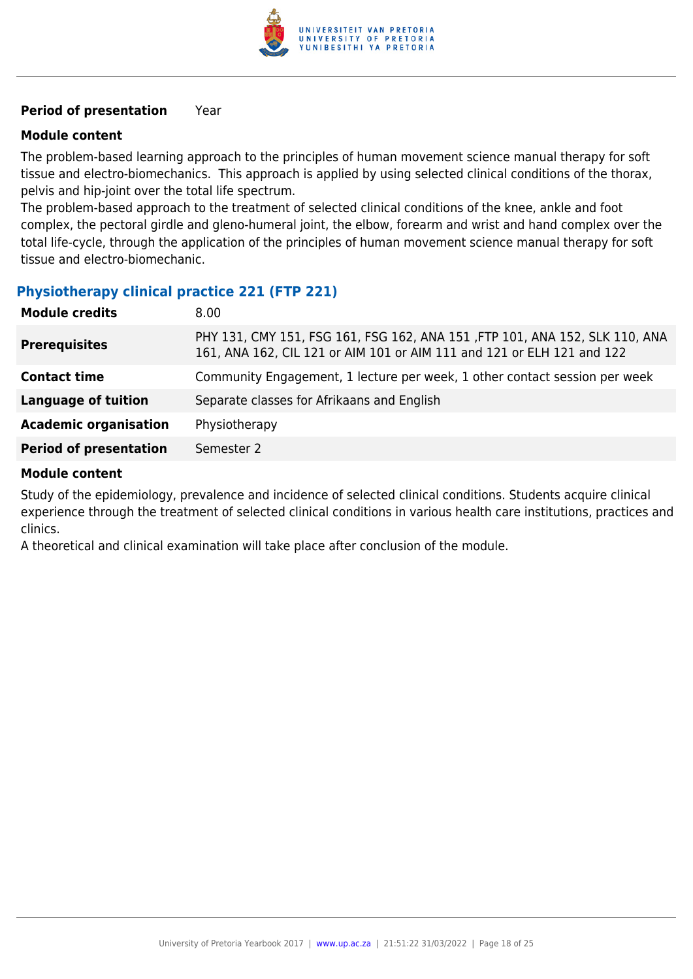

#### **Period of presentation** Year

#### **Module content**

The problem-based learning approach to the principles of human movement science manual therapy for soft tissue and electro-biomechanics. This approach is applied by using selected clinical conditions of the thorax, pelvis and hip-joint over the total life spectrum.

The problem-based approach to the treatment of selected clinical conditions of the knee, ankle and foot complex, the pectoral girdle and gleno-humeral joint, the elbow, forearm and wrist and hand complex over the total life-cycle, through the application of the principles of human movement science manual therapy for soft tissue and electro-biomechanic.

#### **Physiotherapy clinical practice 221 (FTP 221)**

| <b>Module credits</b>         | 8.00                                                                                                                                                  |
|-------------------------------|-------------------------------------------------------------------------------------------------------------------------------------------------------|
| <b>Prerequisites</b>          | PHY 131, CMY 151, FSG 161, FSG 162, ANA 151, FTP 101, ANA 152, SLK 110, ANA<br>161, ANA 162, CIL 121 or AIM 101 or AIM 111 and 121 or ELH 121 and 122 |
| <b>Contact time</b>           | Community Engagement, 1 lecture per week, 1 other contact session per week                                                                            |
| <b>Language of tuition</b>    | Separate classes for Afrikaans and English                                                                                                            |
| <b>Academic organisation</b>  | Physiotherapy                                                                                                                                         |
| <b>Period of presentation</b> | Semester 2                                                                                                                                            |

#### **Module content**

Study of the epidemiology, prevalence and incidence of selected clinical conditions. Students acquire clinical experience through the treatment of selected clinical conditions in various health care institutions, practices and clinics.

A theoretical and clinical examination will take place after conclusion of the module.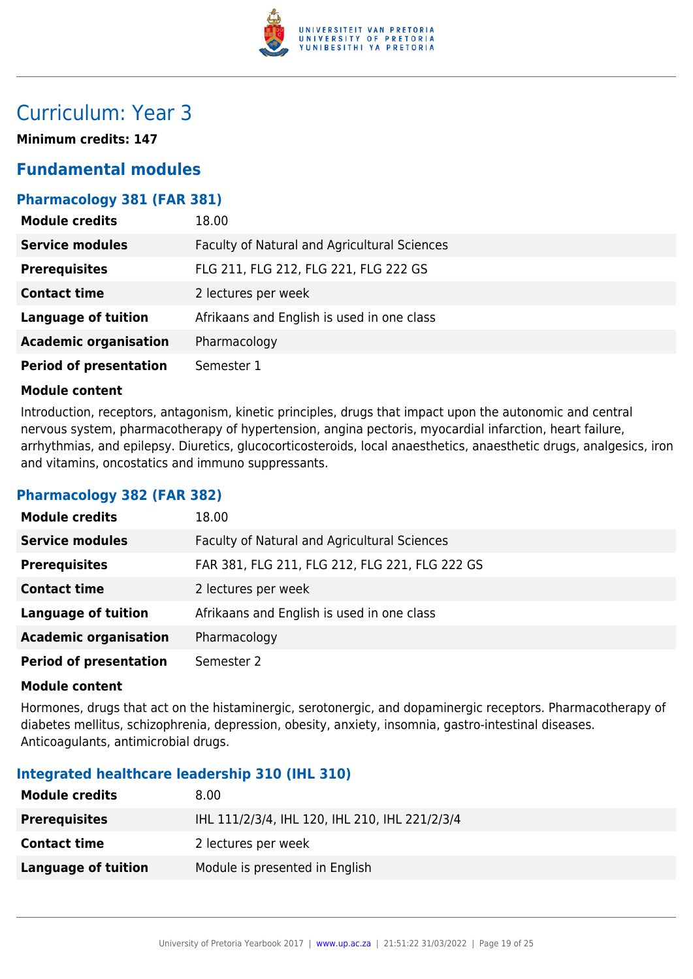

## Curriculum: Year 3

**Minimum credits: 147**

## **Fundamental modules**

## **Pharmacology 381 (FAR 381)**

| <b>Module credits</b>         | 18.00                                        |
|-------------------------------|----------------------------------------------|
| <b>Service modules</b>        | Faculty of Natural and Agricultural Sciences |
| <b>Prerequisites</b>          | FLG 211, FLG 212, FLG 221, FLG 222 GS        |
| <b>Contact time</b>           | 2 lectures per week                          |
| <b>Language of tuition</b>    | Afrikaans and English is used in one class   |
| <b>Academic organisation</b>  | Pharmacology                                 |
| <b>Period of presentation</b> | Semester 1                                   |

#### **Module content**

Introduction, receptors, antagonism, kinetic principles, drugs that impact upon the autonomic and central nervous system, pharmacotherapy of hypertension, angina pectoris, myocardial infarction, heart failure, arrhythmias, and epilepsy. Diuretics, glucocorticosteroids, local anaesthetics, anaesthetic drugs, analgesics, iron and vitamins, oncostatics and immuno suppressants.

## **Pharmacology 382 (FAR 382)**

| <b>Module credits</b>         | 18.00                                          |
|-------------------------------|------------------------------------------------|
| <b>Service modules</b>        | Faculty of Natural and Agricultural Sciences   |
| <b>Prerequisites</b>          | FAR 381, FLG 211, FLG 212, FLG 221, FLG 222 GS |
| <b>Contact time</b>           | 2 lectures per week                            |
| <b>Language of tuition</b>    | Afrikaans and English is used in one class     |
| <b>Academic organisation</b>  | Pharmacology                                   |
| <b>Period of presentation</b> | Semester 2                                     |

#### **Module content**

Hormones, drugs that act on the histaminergic, serotonergic, and dopaminergic receptors. Pharmacotherapy of diabetes mellitus, schizophrenia, depression, obesity, anxiety, insomnia, gastro-intestinal diseases. Anticoagulants, antimicrobial drugs.

#### **Integrated healthcare leadership 310 (IHL 310)**

| <b>Module credits</b> | 8.00                                           |
|-----------------------|------------------------------------------------|
| <b>Prerequisites</b>  | IHL 111/2/3/4, IHL 120, IHL 210, IHL 221/2/3/4 |
| <b>Contact time</b>   | 2 lectures per week                            |
| Language of tuition   | Module is presented in English                 |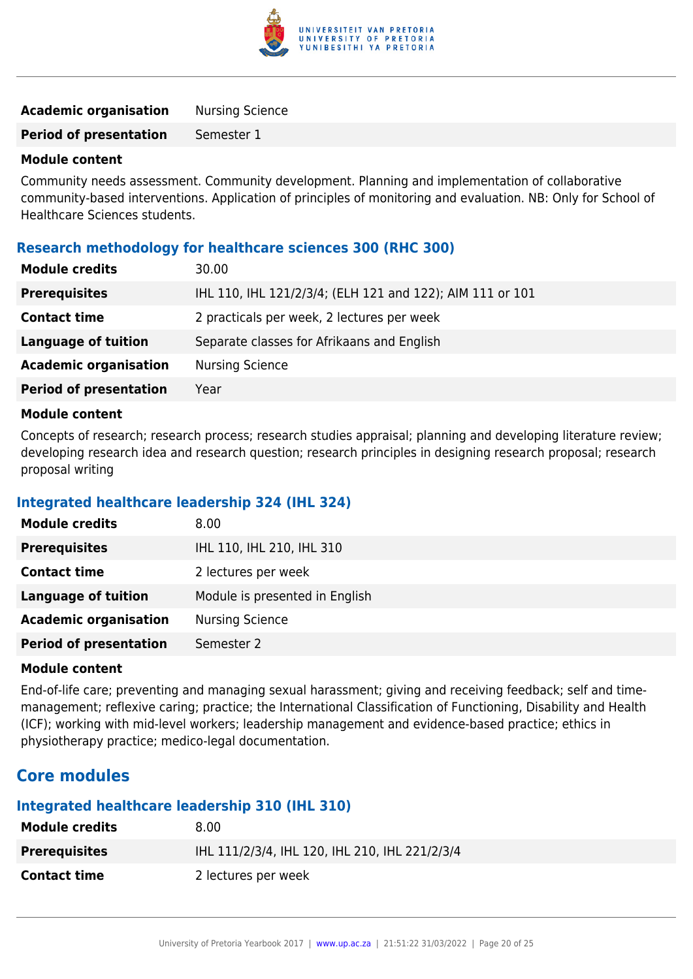

| <b>Academic organisation</b>  | <b>Nursing Science</b> |
|-------------------------------|------------------------|
| <b>Period of presentation</b> | Semester 1             |

Community needs assessment. Community development. Planning and implementation of collaborative community-based interventions. Application of principles of monitoring and evaluation. NB: Only for School of Healthcare Sciences students.

#### **Research methodology for healthcare sciences 300 (RHC 300)**

| <b>Module credits</b>         | 30.00                                                     |
|-------------------------------|-----------------------------------------------------------|
| <b>Prerequisites</b>          | IHL 110, IHL 121/2/3/4; (ELH 121 and 122); AIM 111 or 101 |
| <b>Contact time</b>           | 2 practicals per week, 2 lectures per week                |
| Language of tuition           | Separate classes for Afrikaans and English                |
| <b>Academic organisation</b>  | <b>Nursing Science</b>                                    |
| <b>Period of presentation</b> | Year                                                      |
|                               |                                                           |

#### **Module content**

Concepts of research; research process; research studies appraisal; planning and developing literature review; developing research idea and research question; research principles in designing research proposal; research proposal writing

#### **Integrated healthcare leadership 324 (IHL 324)**

| <b>Module credits</b>         | 8.00                           |
|-------------------------------|--------------------------------|
| <b>Prerequisites</b>          | IHL 110, IHL 210, IHL 310      |
| <b>Contact time</b>           | 2 lectures per week            |
| <b>Language of tuition</b>    | Module is presented in English |
| <b>Academic organisation</b>  | <b>Nursing Science</b>         |
| <b>Period of presentation</b> | Semester 2                     |

#### **Module content**

End-of-life care; preventing and managing sexual harassment; giving and receiving feedback; self and timemanagement; reflexive caring; practice; the International Classification of Functioning, Disability and Health (ICF); working with mid-level workers; leadership management and evidence-based practice; ethics in physiotherapy practice; medico-legal documentation.

## **Core modules**

## **Integrated healthcare leadership 310 (IHL 310)**

| <b>Module credits</b> | 8.00                                           |
|-----------------------|------------------------------------------------|
| <b>Prerequisites</b>  | IHL 111/2/3/4, IHL 120, IHL 210, IHL 221/2/3/4 |
| <b>Contact time</b>   | 2 lectures per week                            |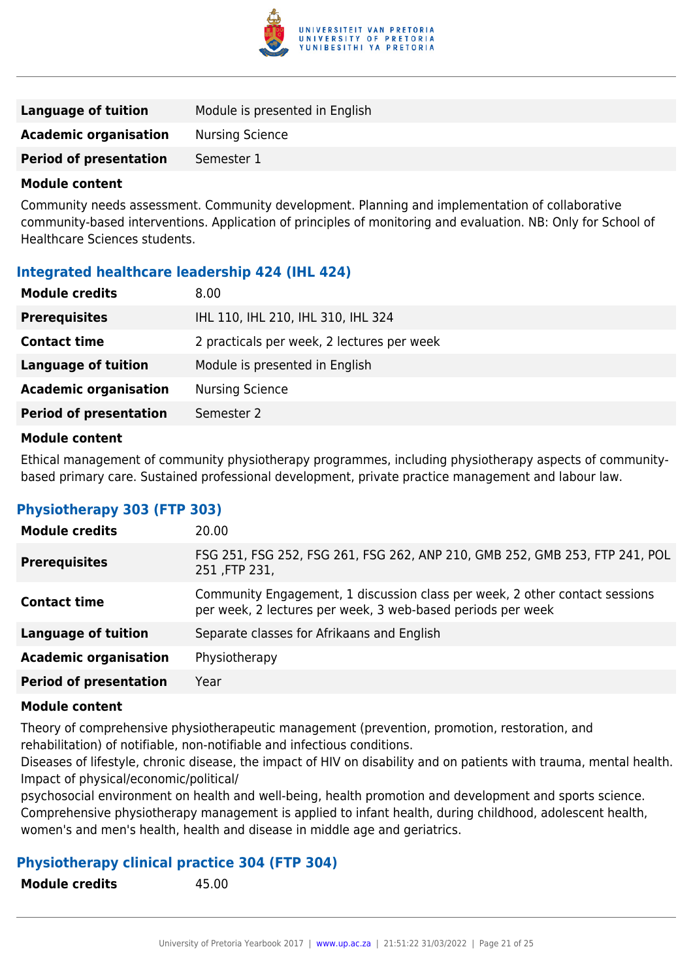

| Language of tuition           | Module is presented in English |
|-------------------------------|--------------------------------|
| <b>Academic organisation</b>  | Nursing Science                |
| <b>Period of presentation</b> | Semester 1                     |
|                               |                                |

Community needs assessment. Community development. Planning and implementation of collaborative community-based interventions. Application of principles of monitoring and evaluation. NB: Only for School of Healthcare Sciences students.

#### **Integrated healthcare leadership 424 (IHL 424)**

| <b>Module credits</b>         | 8.00                                       |
|-------------------------------|--------------------------------------------|
| <b>Prerequisites</b>          | IHL 110, IHL 210, IHL 310, IHL 324         |
| <b>Contact time</b>           | 2 practicals per week, 2 lectures per week |
| <b>Language of tuition</b>    | Module is presented in English             |
| <b>Academic organisation</b>  | <b>Nursing Science</b>                     |
| <b>Period of presentation</b> | Semester 2                                 |
|                               |                                            |

#### **Module content**

Ethical management of community physiotherapy programmes, including physiotherapy aspects of communitybased primary care. Sustained professional development, private practice management and labour law.

#### **Physiotherapy 303 (FTP 303)**

| <b>Module credits</b>         | 20.00                                                                                                                                      |
|-------------------------------|--------------------------------------------------------------------------------------------------------------------------------------------|
| <b>Prerequisites</b>          | FSG 251, FSG 252, FSG 261, FSG 262, ANP 210, GMB 252, GMB 253, FTP 241, POL<br>251, FTP 231,                                               |
| <b>Contact time</b>           | Community Engagement, 1 discussion class per week, 2 other contact sessions<br>per week, 2 lectures per week, 3 web-based periods per week |
| <b>Language of tuition</b>    | Separate classes for Afrikaans and English                                                                                                 |
| <b>Academic organisation</b>  | Physiotherapy                                                                                                                              |
| <b>Period of presentation</b> | Year                                                                                                                                       |

#### **Module content**

Theory of comprehensive physiotherapeutic management (prevention, promotion, restoration, and rehabilitation) of notifiable, non-notifiable and infectious conditions.

Diseases of lifestyle, chronic disease, the impact of HIV on disability and on patients with trauma, mental health. Impact of physical/economic/political/

psychosocial environment on health and well-being, health promotion and development and sports science. Comprehensive physiotherapy management is applied to infant health, during childhood, adolescent health, women's and men's health, health and disease in middle age and geriatrics.

#### **Physiotherapy clinical practice 304 (FTP 304)**

**Module credits** 45.00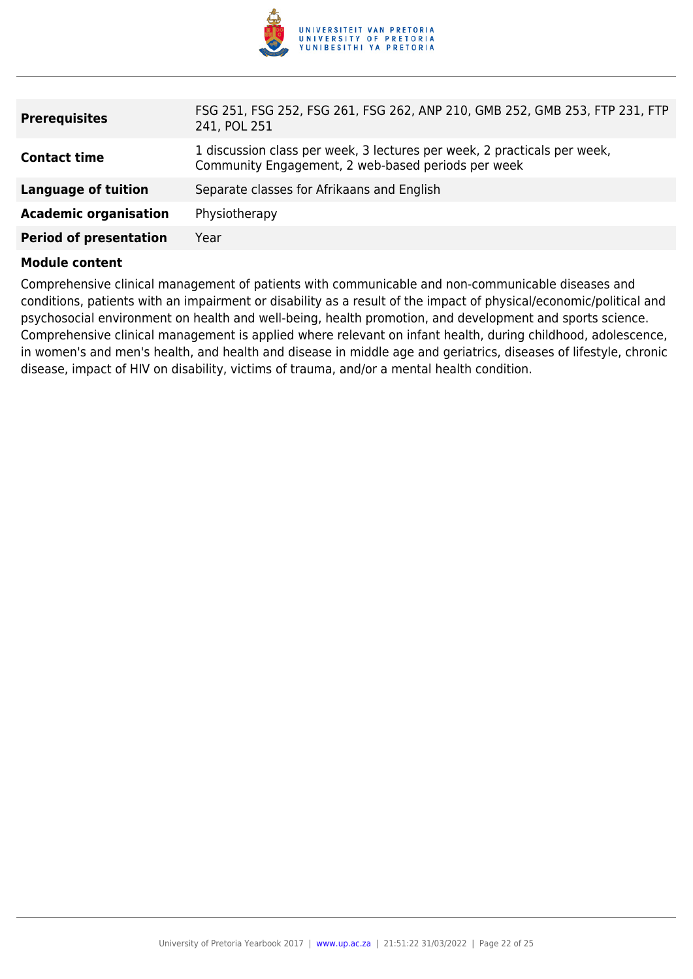

| <b>Prerequisites</b>          | FSG 251, FSG 252, FSG 261, FSG 262, ANP 210, GMB 252, GMB 253, FTP 231, FTP<br>241, POL 251                                    |
|-------------------------------|--------------------------------------------------------------------------------------------------------------------------------|
| <b>Contact time</b>           | 1 discussion class per week, 3 lectures per week, 2 practicals per week,<br>Community Engagement, 2 web-based periods per week |
| Language of tuition           | Separate classes for Afrikaans and English                                                                                     |
| <b>Academic organisation</b>  | Physiotherapy                                                                                                                  |
| <b>Period of presentation</b> | Year                                                                                                                           |

Comprehensive clinical management of patients with communicable and non-communicable diseases and conditions, patients with an impairment or disability as a result of the impact of physical/economic/political and psychosocial environment on health and well-being, health promotion, and development and sports science. Comprehensive clinical management is applied where relevant on infant health, during childhood, adolescence, in women's and men's health, and health and disease in middle age and geriatrics, diseases of lifestyle, chronic disease, impact of HIV on disability, victims of trauma, and/or a mental health condition.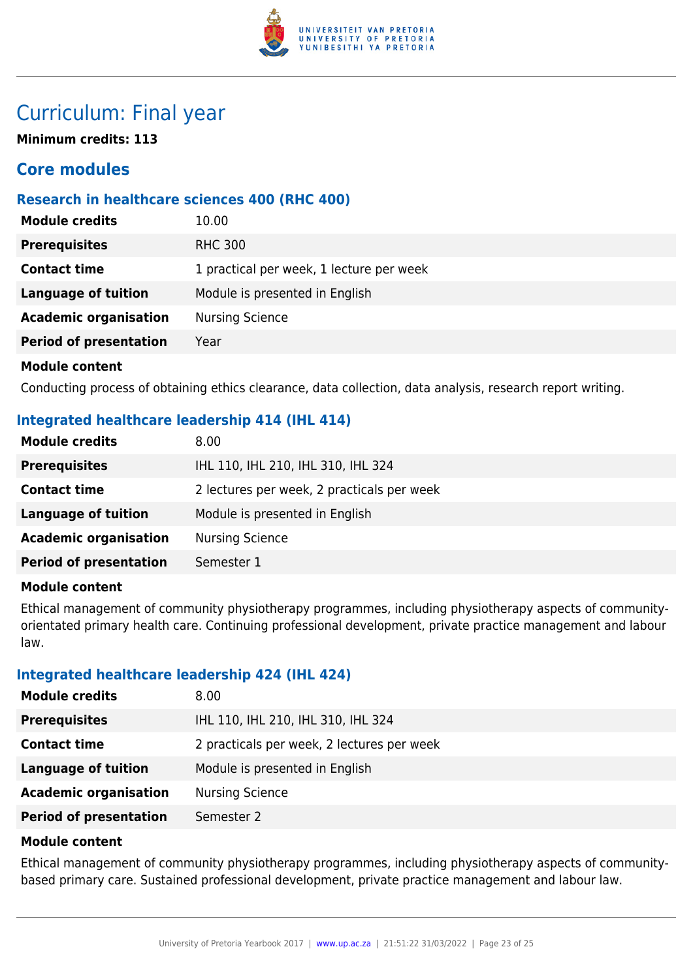

## Curriculum: Final year

**Minimum credits: 113**

## **Core modules**

## **Research in healthcare sciences 400 (RHC 400)**

| <b>Module credits</b>         | 10.00                                    |
|-------------------------------|------------------------------------------|
| <b>Prerequisites</b>          | <b>RHC 300</b>                           |
| <b>Contact time</b>           | 1 practical per week, 1 lecture per week |
| <b>Language of tuition</b>    | Module is presented in English           |
| <b>Academic organisation</b>  | <b>Nursing Science</b>                   |
| <b>Period of presentation</b> | Year                                     |
| <b>Module content</b>         |                                          |

Conducting process of obtaining ethics clearance, data collection, data analysis, research report writing.

## **Integrated healthcare leadership 414 (IHL 414)**

| <b>Module credits</b>         | 8.00                                       |
|-------------------------------|--------------------------------------------|
| <b>Prerequisites</b>          | IHL 110, IHL 210, IHL 310, IHL 324         |
| <b>Contact time</b>           | 2 lectures per week, 2 practicals per week |
| <b>Language of tuition</b>    | Module is presented in English             |
| <b>Academic organisation</b>  | <b>Nursing Science</b>                     |
| <b>Period of presentation</b> | Semester 1                                 |
|                               |                                            |

#### **Module content**

Ethical management of community physiotherapy programmes, including physiotherapy aspects of communityorientated primary health care. Continuing professional development, private practice management and labour law.

## **Integrated healthcare leadership 424 (IHL 424)**

| <b>Module credits</b>         | 8.00                                       |
|-------------------------------|--------------------------------------------|
| <b>Prerequisites</b>          | IHL 110, IHL 210, IHL 310, IHL 324         |
| <b>Contact time</b>           | 2 practicals per week, 2 lectures per week |
| <b>Language of tuition</b>    | Module is presented in English             |
| <b>Academic organisation</b>  | <b>Nursing Science</b>                     |
| <b>Period of presentation</b> | Semester 2                                 |

#### **Module content**

Ethical management of community physiotherapy programmes, including physiotherapy aspects of communitybased primary care. Sustained professional development, private practice management and labour law.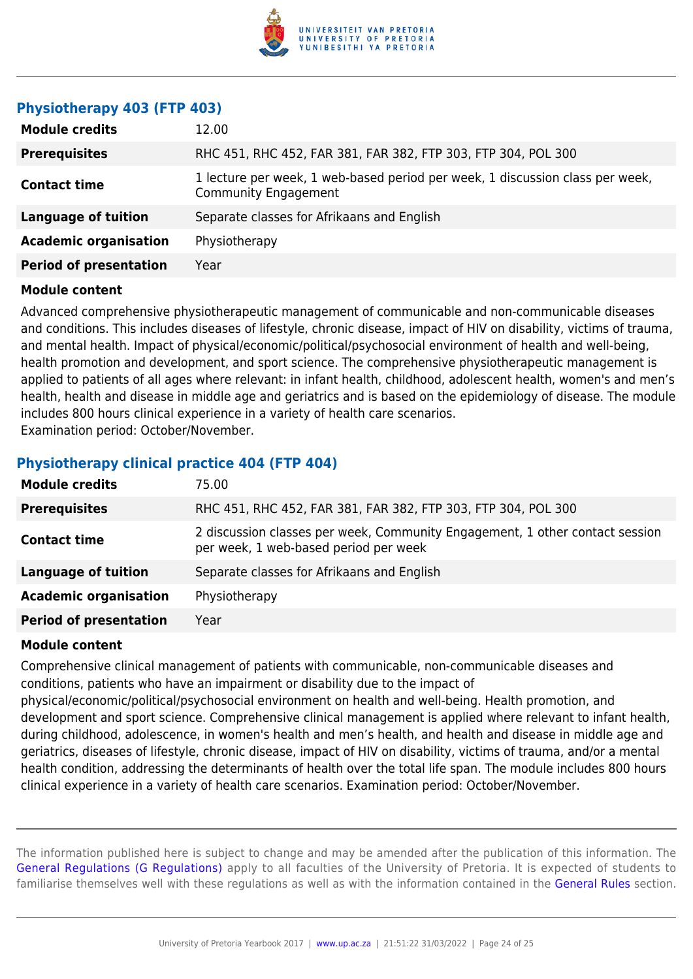

#### **Physiotherapy 403 (FTP 403)**

| <b>Module credits</b>         | 12.00                                                                                                 |
|-------------------------------|-------------------------------------------------------------------------------------------------------|
| <b>Prerequisites</b>          | RHC 451, RHC 452, FAR 381, FAR 382, FTP 303, FTP 304, POL 300                                         |
| <b>Contact time</b>           | 1 lecture per week, 1 web-based period per week, 1 discussion class per week,<br>Community Engagement |
| <b>Language of tuition</b>    | Separate classes for Afrikaans and English                                                            |
| <b>Academic organisation</b>  | Physiotherapy                                                                                         |
| <b>Period of presentation</b> | Year                                                                                                  |

#### **Module content**

Advanced comprehensive physiotherapeutic management of communicable and non-communicable diseases and conditions. This includes diseases of lifestyle, chronic disease, impact of HIV on disability, victims of trauma, and mental health. Impact of physical/economic/political/psychosocial environment of health and well-being, health promotion and development, and sport science. The comprehensive physiotherapeutic management is applied to patients of all ages where relevant: in infant health, childhood, adolescent health, women's and men's health, health and disease in middle age and geriatrics and is based on the epidemiology of disease. The module includes 800 hours clinical experience in a variety of health care scenarios. Examination period: October/November.

#### **Physiotherapy clinical practice 404 (FTP 404)**

| <b>Module credits</b>         | 75.00                                                                                                                 |
|-------------------------------|-----------------------------------------------------------------------------------------------------------------------|
| <b>Prerequisites</b>          | RHC 451, RHC 452, FAR 381, FAR 382, FTP 303, FTP 304, POL 300                                                         |
| <b>Contact time</b>           | 2 discussion classes per week, Community Engagement, 1 other contact session<br>per week, 1 web-based period per week |
| <b>Language of tuition</b>    | Separate classes for Afrikaans and English                                                                            |
| <b>Academic organisation</b>  | Physiotherapy                                                                                                         |
| <b>Period of presentation</b> | Year                                                                                                                  |

#### **Module content**

Comprehensive clinical management of patients with communicable, non-communicable diseases and conditions, patients who have an impairment or disability due to the impact of physical/economic/political/psychosocial environment on health and well-being. Health promotion, and development and sport science. Comprehensive clinical management is applied where relevant to infant health, during childhood, adolescence, in women's health and men's health, and health and disease in middle age and geriatrics, diseases of lifestyle, chronic disease, impact of HIV on disability, victims of trauma, and/or a mental health condition, addressing the determinants of health over the total life span. The module includes 800 hours clinical experience in a variety of health care scenarios. Examination period: October/November.

The information published here is subject to change and may be amended after the publication of this information. The [General Regulations \(G Regulations\)](https://www.up.ac.za/yearbooks/2017/rules/view/REG) apply to all faculties of the University of Pretoria. It is expected of students to familiarise themselves well with these regulations as well as with the information contained in the [General Rules](https://www.up.ac.za/yearbooks/2017/rules/view/RUL) section.